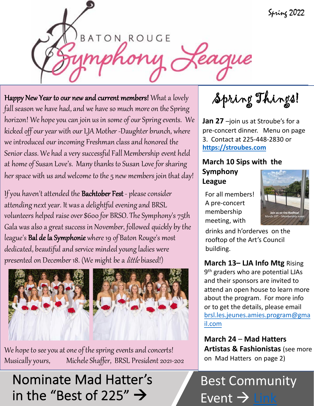Spring 2022

**BATON ROUGE** 

teague

Happy New Year to our new and current members! What a lovely fall season we have had, and we have so much more on the Spring horizon! We hope you can join us in some of our Spring events. We kicked off our year with our LJA Mother -Daughter brunch, where we introduced our incoming Freshman class and honored the Senior class. We had a very successful Fall Membership event held at home of Susan Love's. Many thanks to Susan Love for sharing her space with us and welcome to the 5 new members join that day!

If you haven't attended the Bachtober Fest - please consider attending next year. It was a delightful evening and BRSL volunteers helped raise over \$600 for BRSO. The Symphony's 75th Gala was also a great success in November, followed quickly by the league's Bal de la Symphonie where 19 of Baton Rouge's most dedicated, beautiful and service minded young ladies were presented on December 18. (We might be a *little* biased!)



We hope to see you at one of the spring events and concerts! Musically yours, Michele Shaffer, BRSL President 2021-202

Nominate Mad Hatter's in the "Best of 225"  $\rightarrow$ 

Spring Things!

**Jan 27** –join us at Stroube's for a pre-concert dinner. Menu on page 3. Contact at 225-448-2830 or **[https://stroubes.com](https://stroubes.com/)**

### **March 10 Sips with the Symphony League**

For all members! A pre-concert membership meeting, with



drinks and h'orderves on the rooftop of the Art's Council building.

### **March 13– LJA Info Mtg** Rising

9<sup>th</sup> graders who are potential LJAs and their sponsors are invited to attend an open house to learn more about the program. For more info or to get the details, please email [brsl.les.jeunes.amies.program@gma](mailto:brsl.les.jeunes.amies.program@gmail.com) il.com

**March 24** – **Mad Hatters Artistas & Fashionistas** (see more on Mad Hatters on page 2)

## Best Community Event  $\rightarrow$  [Link](https://www.225batonrouge.com/bestof225)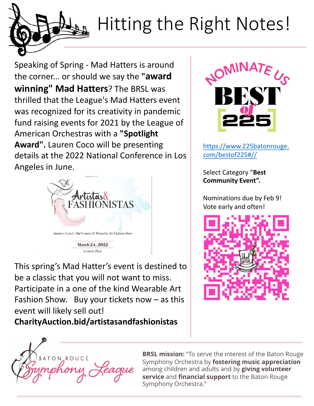# Hitting the Right Notes!

Speaking of Spring - Mad Hatters is around the corner... or should we say the **"award winning" Mad Hatters**? The BRSL was thrilled that the League's Mad Hatters event was recognized for its creativity in pandemic fund raising events for 2021 by the League of American Orchestras with a **"Spotlight Award".** Lauren Coco will be presenting details at the 2022 National Conference in Los Angeles in June.



This spring's Mad Hatter's event is destined to be a classic that you will not want to miss. Participate in a one of the kind Wearable Art Fashion Show. Buy your tickets now  $-$  as this event will likely sell out!

**CharityAuction.bid/artistasandfashionistas**



[https://www.225batonrouge.](https://www.225batonrouge.com/bestof225) com/bestof225#//

Select Category "**Best Community Event".** 

Nominations due by Feb 9! Vote early and often!





**BRSL mission:** "To serve the interest of the Baton Rouge Symphony Orchestra by **fostering music appreciation** among children and adults and by **giving volunteer service** and **financial support** to the Baton Rouge Symphony Orchestra."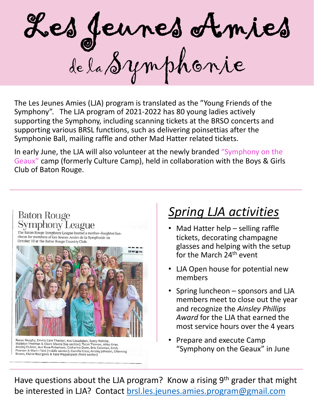

The Les Jeunes Amies (LJA) program is translated as the "Young Friends of the Symphony". The LJA program of 2021-2022 has 80 young ladies actively supporting the Symphony, including scanning tickets at the BRSO concerts and supporting various BRSL functions, such as delivering poinsettias after the Symphonie Ball, mailing raffle and other Mad Hatter related tickets.

In early June, the LJA will also volunteer at the newly branded "Symphony on the Geaux" camp (formerly Culture Camp), held in collaboration with the Boys & Girls Club of Baton Rouge.

### **Baton Rouge** Symphony League

The Baton Rouge Symphony League hosted a mother-daughter luncheon for members of Les Jeunes Amies de la Symphonie on October 10 at the Baton Rouge Country Club.



Reese Murphy, Emma Cate Thaxton, Ava Casadaban, Avery Helmke,<br>Madelyn Freeman & Claire Moore (top section); Taryn Thomas, Abby Grier,<br>Ainsley Dubroc, Ava Rose Robertson, Catherine Dunn, Bria Coleman, Emily<br>Pearson & Marin Brown, Elaine Bourgeois & Kate Waguespack (front section)

### *Spring LJA activities*

- Mad Hatter help selling raffle tickets, decorating champagne glasses and helping with the setup for the March 24<sup>th</sup> event
- LJA Open house for potential new members
- Spring luncheon sponsors and LJA members meet to close out the year and recognize the *Ainsley Phillips Award* for the LJA that earned the most service hours over the 4 years
- Prepare and execute Camp "Symphony on the Geaux" in June

Have questions about the LJA program? Know a rising 9<sup>th</sup> grader that might be interested in LJA? Contact [brsl.les.jeunes.amies.program@gmail.com](mailto:brsl.les.jeunes.amies.prgram@gmail.com)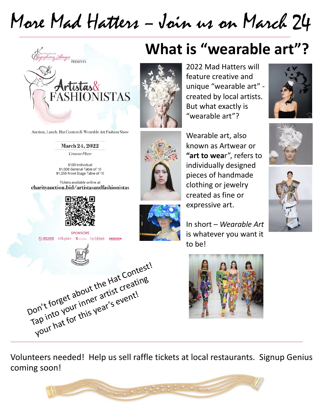## More Mad Hatters – Join us on March 24



Auction, Lunch, Hat Contest & Wearable Art Fashion Show

#### March 24, 2022

Crowne Plaze

\$100 Individual \$1,000 General Table of 10 \$1,250 Front Stage Table of 10

Tickets available online at charityauction.bid/artistasandfashionistas



**SPONSORS** WORKSCHAFE in Register RAFFAELE Lee Michaels CHASERTS



## **What is "wearable art"?**



2022 Mad Hatters will feature creative and unique "wearable art" created by local artists. But what exactly is "wearable art"?

Wearable art, also known as Artwear or **"art to wea**r", refers to individually designed pieces of handmade clothing or jewelry created as fine or expressive art.

In short – *Wearable Art*  is whatever you want it to be!